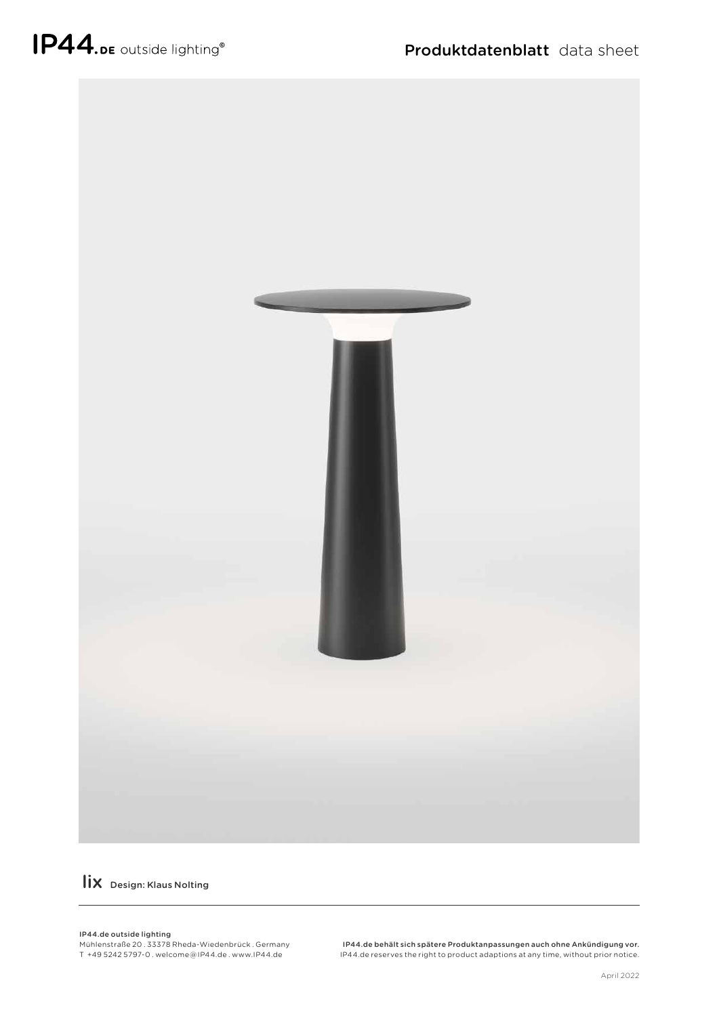

lix Design: Klaus Nolting

## IP44.de outside lighting

Mühlenstraße 20 . 33378 Rheda-Wiedenbrück . Germany T +49 5242 5797-0 . welcome @ IP44.de . www.IP44.de

IP44.de behält sich spätere Produktanpassungen auch ohne Ankündigung vor. IP44.de reserves the right to product adaptions at any time, without prior notice.